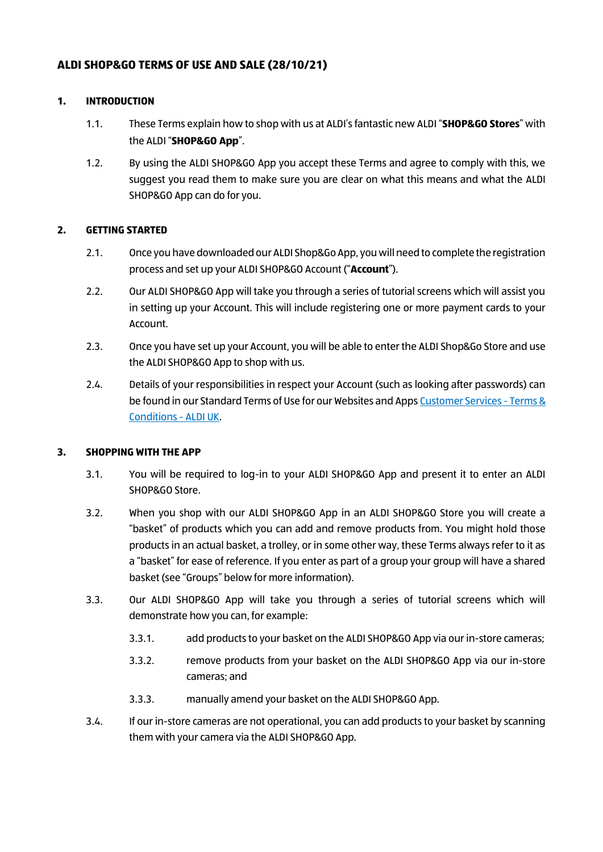## **ALDI SHOP&GO TERMS OF USE AND SALE (28/10/21)**

#### **1. INTRODUCTION**

- 1.1. These Terms explain how to shop with us at ALDI's fantastic new ALDI "**SHOP&GO Stores**" with the ALDI "**SHOP&GO App**".
- 1.2. By using the ALDI SHOP&GO App you accept these Terms and agree to comply with this, we suggest you read them to make sure you are clear on what this means and what the ALDI SHOP&GO App can do for you.

#### **2. GETTING STARTED**

- 2.1. Once you have downloaded our ALDI Shop&Go App, you will need to complete the registration process and set up your ALDI SHOP&GO Account ("**Account**").
- 2.2. Our ALDI SHOP&GO App will take you through a series of tutorial screens which will assist you in setting up your Account. This will include registering one or more payment cards to your Account.
- 2.3. Once you have set up your Account, you will be able to enter the ALDI Shop&Go Store and use the ALDI SHOP&GO App to shop with us.
- 2.4. Details of your responsibilities in respect your Account (such as looking after passwords) can be found in our Standard Terms of Use for our Websites and Apps [Customer Services -](https://www.aldi.co.uk/customer-services/terms-and-conditions) Terms & [Conditions -](https://www.aldi.co.uk/customer-services/terms-and-conditions) ALDI UK.

### **3. SHOPPING WITH THE APP**

- 3.1. You will be required to log-in to your ALDI SHOP&GO App and present it to enter an ALDI SHOP&GO Store.
- 3.2. When you shop with our ALDI SHOP&GO App in an ALDI SHOP&GO Store you will create a "basket" of products which you can add and remove products from. You might hold those products in an actual basket, a trolley, or in some other way, these Terms always refer to it as a "basket" for ease of reference. If you enter as part of a group your group will have a shared basket (see "Groups" below for more information).
- 3.3. Our ALDI SHOP&GO App will take you through a series of tutorial screens which will demonstrate how you can, for example:
	- 3.3.1. add products to your basket on the ALDI SHOP&GO App via our in-store cameras;
	- 3.3.2. remove products from your basket on the ALDI SHOP&GO App via our in-store cameras; and
	- 3.3.3. manually amend your basket on the ALDI SHOP&GO App.
- 3.4. If our in-store cameras are not operational, you can add products to your basket by scanning them with your camera via the ALDI SHOP&GO App.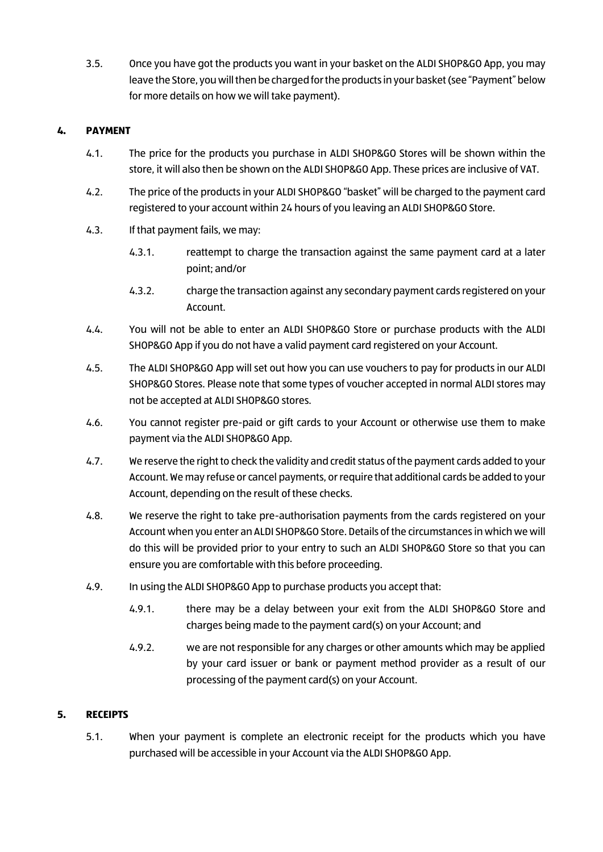3.5. Once you have got the products you want in your basket on the ALDI SHOP&GO App, you may leave the Store, you will then be charged for the products in your basket (see "Payment" below for more details on how we will take payment).

## **4. PAYMENT**

- 4.1. The price for the products you purchase in ALDI SHOP&GO Stores will be shown within the store, it will also then be shown on the ALDI SHOP&GO App. These prices are inclusive of VAT.
- 4.2. The price of the products in your ALDI SHOP&GO "basket" will be charged to the payment card registered to your account within 24 hours of you leaving an ALDI SHOP&GO Store.
- 4.3. If that payment fails, we may:
	- 4.3.1. reattempt to charge the transaction against the same payment card at a later point; and/or
	- 4.3.2. charge the transaction against any secondary payment cards registered on your Account.
- 4.4. You will not be able to enter an ALDI SHOP&GO Store or purchase products with the ALDI SHOP&GO App if you do not have a valid payment card registered on your Account.
- 4.5. The ALDI SHOP&GO App will set out how you can use vouchers to pay for products in our ALDI SHOP&GO Stores. Please note that some types of voucher accepted in normal ALDI stores may not be accepted at ALDI SHOP&GO stores.
- 4.6. You cannot register pre-paid or gift cards to your Account or otherwise use them to make payment via the ALDI SHOP&GO App.
- 4.7. We reserve the right to check the validity and credit status of the payment cards added to your Account. We may refuse or cancel payments, or require that additional cards be added to your Account, depending on the result of these checks.
- 4.8. We reserve the right to take pre-authorisation payments from the cards registered on your Account when you enter an ALDI SHOP&GO Store. Details of the circumstances in which we will do this will be provided prior to your entry to such an ALDI SHOP&GO Store so that you can ensure you are comfortable with this before proceeding.
- 4.9. In using the ALDI SHOP&GO App to purchase products you accept that:
	- 4.9.1. there may be a delay between your exit from the ALDI SHOP&GO Store and charges being made to the payment card(s) on your Account; and
	- 4.9.2. we are not responsible for any charges or other amounts which may be applied by your card issuer or bank or payment method provider as a result of our processing of the payment card(s) on your Account.

### **5. RECEIPTS**

5.1. When your payment is complete an electronic receipt for the products which you have purchased will be accessible in your Account via the ALDI SHOP&GO App.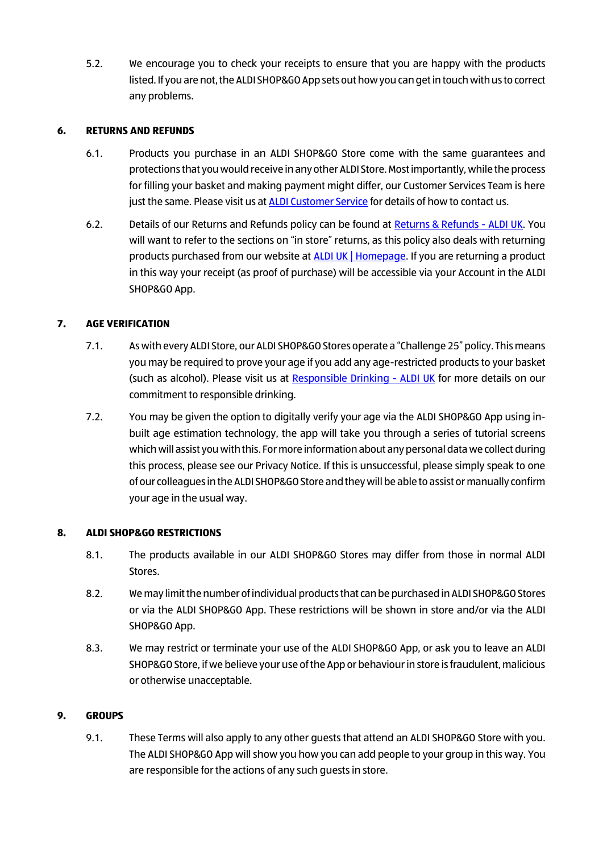5.2. We encourage you to check your receipts to ensure that you are happy with the products listed. If you are not, the ALDI SHOP&GOApp sets out how you can get in touch with us to correct any problems.

### **6. RETURNS AND REFUNDS**

- 6.1. Products you purchase in an ALDI SHOP&GO Store come with the same guarantees and protections that you would receive in any other ALDI Store. Most importantly, while the process for filling your basket and making payment might differ, our Customer Services Team is here just the same. Please visit us a[t ALDI Customer Service](https://customerservice.aldi.co.uk/contact) for details of how to contact us.
- 6.2. Details of our Returns and Refunds policy can be found at [Returns & Refunds -](https://www.aldi.co.uk/customer-services/returns) ALDI UK. You will want to refer to the sections on "in store" returns, as this policy also deals with returning products purchased from our website at **ALDI UK | Homepage**. If you are returning a product in this way your receipt (as proof of purchase) will be accessible via your Account in the ALDI SHOP&GO App.

# **7. AGE VERIFICATION**

- 7.1. As with every ALDI Store, our ALDI SHOP&GO Stores operate a "Challenge 25" policy. This means you may be required to prove your age if you add any age-restricted products to your basket (such as alcohol). Please visit us at [Responsible Drinking -](https://www.aldi.co.uk/about-aldi/corporate-responsibility/customers/responsible-drinking) ALDI UK for more details on our commitment to responsible drinking.
- 7.2. You may be given the option to digitally verify your age via the ALDI SHOP&GO App using inbuilt age estimation technology, the app will take you through a series of tutorial screens which will assist you with this. For more information about any personal data we collect during this process, please see our Privacy Notice. If this is unsuccessful, please simply speak to one of our colleagues in the ALDI SHOP&GO Store and they will be able to assist or manually confirm your age in the usual way.

### **8. ALDI SHOP&GO RESTRICTIONS**

- 8.1. The products available in our ALDI SHOP&GO Stores may differ from those in normal ALDI Stores.
- 8.2. We may limit the number of individual products that can be purchased in ALDI SHOP&GOStores or via the ALDI SHOP&GO App. These restrictions will be shown in store and/or via the ALDI SHOP&GO App.
- 8.3. We may restrict or terminate your use of the ALDI SHOP&GO App, or ask you to leave an ALDI SHOP&GO Store, if we believe your use of the App or behaviour in store is fraudulent, malicious or otherwise unacceptable.

### **9. GROUPS**

9.1. These Terms will also apply to any other guests that attend an ALDI SHOP&GO Store with you. The ALDI SHOP&GO App will show you how you can add people to your group in this way. You are responsible for the actions of any such guests in store.